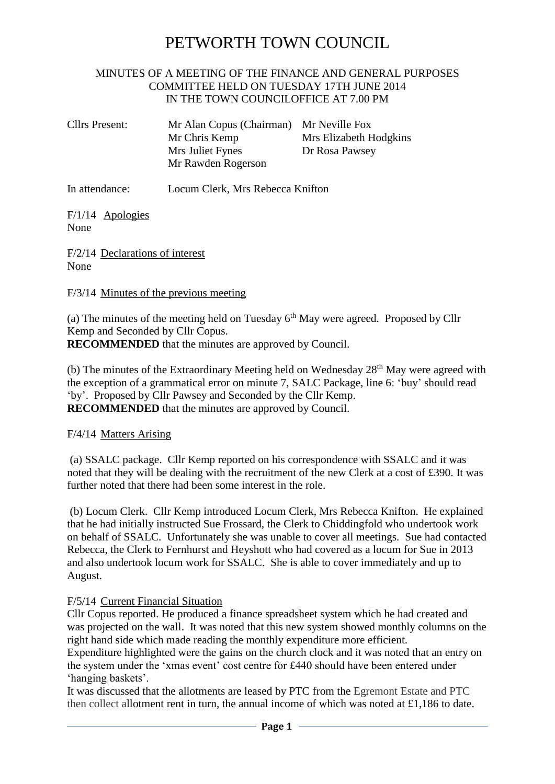# PETWORTH TOWN COUNCIL

### MINUTES OF A MEETING OF THE FINANCE AND GENERAL PURPOSES COMMITTEE HELD ON TUESDAY 17TH JUNE 2014 IN THE TOWN COUNCILOFFICE AT 7.00 PM

| Cllrs Present: | Mr Alan Copus (Chairman) Mr Neville Fox |                        |
|----------------|-----------------------------------------|------------------------|
|                | Mr Chris Kemp                           | Mrs Elizabeth Hodgkins |
|                | Mrs Juliet Fynes                        | Dr Rosa Pawsey         |
|                | Mr Rawden Rogerson                      |                        |

In attendance: Locum Clerk, Mrs Rebecca Knifton

F/1/14 Apologies None

F/2/14 Declarations of interest None

F/3/14 Minutes of the previous meeting

(a) The minutes of the meeting held on Tuesday  $6<sup>th</sup>$  May were agreed. Proposed by Cllr Kemp and Seconded by Cllr Copus. **RECOMMENDED** that the minutes are approved by Council.

(b) The minutes of the Extraordinary Meeting held on Wednesday 28<sup>th</sup> May were agreed with the exception of a grammatical error on minute 7, SALC Package, line 6: 'buy' should read 'by'. Proposed by Cllr Pawsey and Seconded by the Cllr Kemp. **RECOMMENDED** that the minutes are approved by Council.

F/4/14 Matters Arising

(a) SSALC package. Cllr Kemp reported on his correspondence with SSALC and it was noted that they will be dealing with the recruitment of the new Clerk at a cost of £390. It was further noted that there had been some interest in the role.

(b) Locum Clerk. Cllr Kemp introduced Locum Clerk, Mrs Rebecca Knifton. He explained that he had initially instructed Sue Frossard, the Clerk to Chiddingfold who undertook work on behalf of SSALC. Unfortunately she was unable to cover all meetings. Sue had contacted Rebecca, the Clerk to Fernhurst and Heyshott who had covered as a locum for Sue in 2013 and also undertook locum work for SSALC. She is able to cover immediately and up to August.

## F/5/14 Current Financial Situation

Cllr Copus reported. He produced a finance spreadsheet system which he had created and was projected on the wall. It was noted that this new system showed monthly columns on the right hand side which made reading the monthly expenditure more efficient.

Expenditure highlighted were the gains on the church clock and it was noted that an entry on the system under the 'xmas event' cost centre for £440 should have been entered under 'hanging baskets'.

It was discussed that the allotments are leased by PTC from the Egremont Estate and PTC then collect allotment rent in turn, the annual income of which was noted at £1,186 to date.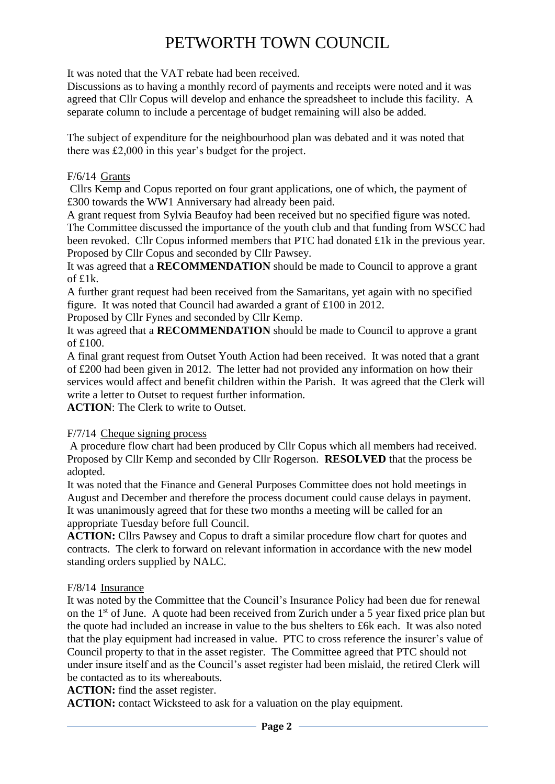# PETWORTH TOWN COUNCIL

It was noted that the VAT rebate had been received.

Discussions as to having a monthly record of payments and receipts were noted and it was agreed that Cllr Copus will develop and enhance the spreadsheet to include this facility. A separate column to include a percentage of budget remaining will also be added.

The subject of expenditure for the neighbourhood plan was debated and it was noted that there was £2,000 in this year's budget for the project.

### F/6/14 Grants

Cllrs Kemp and Copus reported on four grant applications, one of which, the payment of £300 towards the WW1 Anniversary had already been paid.

A grant request from Sylvia Beaufoy had been received but no specified figure was noted. The Committee discussed the importance of the youth club and that funding from WSCC had been revoked. Cllr Copus informed members that PTC had donated £1k in the previous year. Proposed by Cllr Copus and seconded by Cllr Pawsey.

It was agreed that a **RECOMMENDATION** should be made to Council to approve a grant of £1k.

A further grant request had been received from the Samaritans, yet again with no specified figure. It was noted that Council had awarded a grant of £100 in 2012.

Proposed by Cllr Fynes and seconded by Cllr Kemp.

It was agreed that a **RECOMMENDATION** should be made to Council to approve a grant of £100.

A final grant request from Outset Youth Action had been received. It was noted that a grant of £200 had been given in 2012. The letter had not provided any information on how their services would affect and benefit children within the Parish. It was agreed that the Clerk will write a letter to Outset to request further information.

**ACTION**: The Clerk to write to Outset.

### F/7/14 Cheque signing process

A procedure flow chart had been produced by Cllr Copus which all members had received. Proposed by Cllr Kemp and seconded by Cllr Rogerson. **RESOLVED** that the process be adopted.

It was noted that the Finance and General Purposes Committee does not hold meetings in August and December and therefore the process document could cause delays in payment. It was unanimously agreed that for these two months a meeting will be called for an appropriate Tuesday before full Council.

**ACTION:** Cllrs Pawsey and Copus to draft a similar procedure flow chart for quotes and contracts. The clerk to forward on relevant information in accordance with the new model standing orders supplied by NALC.

### F/8/14 Insurance

It was noted by the Committee that the Council's Insurance Policy had been due for renewal on the 1<sup>st</sup> of June. A quote had been received from Zurich under a 5 year fixed price plan but the quote had included an increase in value to the bus shelters to £6k each. It was also noted that the play equipment had increased in value. PTC to cross reference the insurer's value of Council property to that in the asset register. The Committee agreed that PTC should not under insure itself and as the Council's asset register had been mislaid, the retired Clerk will be contacted as to its whereabouts.

**ACTION:** find the asset register.

**ACTION:** contact Wicksteed to ask for a valuation on the play equipment.